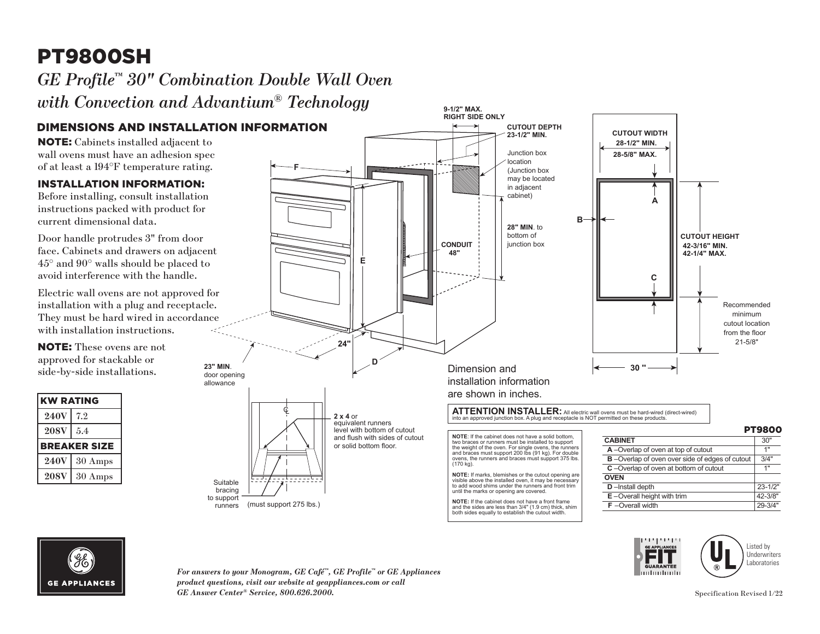## PT9800SH

# *GE Profile™ 30" Combination Double Wall Oven*

runners

*with Convection and Advantium® Technology* 

### DIMENSIONS AND INSTALLATION INFORMATION

NOTE: Cabinets installed adjacent to wall ovens must have an adhesion spec of at least a 194°F temperature rating.

#### INSTALLATION INFORMATION:

Before installing, consult installation instructions packed with product for current dimensional data.

Door handle protrudes 3" from door face. Cabinets and drawers on adjacent 45° and 90° walls should be placed to avoid interference with the handle.

Electric wall ovens are not approved for installation with a plug and receptacle. They must be hard wired in accordance with installation instructions.

NOTE: These ovens are not approved for stackable or side-by-side installations.

| <b>KW RATING</b>    |         |
|---------------------|---------|
| <b>240V</b>         | 7.2     |
| 208V                | 5.4     |
| <b>BREAKER SIZE</b> |         |
| <b>240V</b>         | 30 Amps |
| <b>208V</b>         | 30 Amps |
|                     |         |



both sides equally to establish the cutout width.

**GE APPLIANCES** 

*For answers to your Monogram, GE Café™, GE Profile™ or GE Appliances product questions, visit our website at geappliances.com or call GE Answer Center® Service, 800.626.2000.* Specification Revised 1/22

(must support 275 lbs.)

فرفية والمناز E. mluntmuh

**F** –Overall width

Listed by **Underwriters Laboratories**